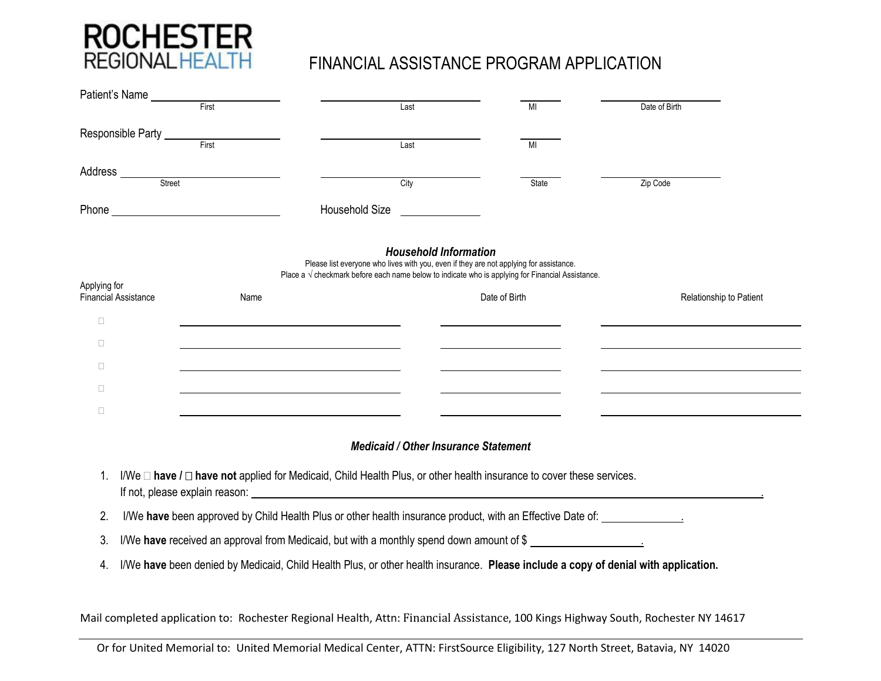

| Patient's Name                              |                                                                                                                                         |                                                                                                                                                                                                                                                                                                                                                                  |               |                         |  |  |
|---------------------------------------------|-----------------------------------------------------------------------------------------------------------------------------------------|------------------------------------------------------------------------------------------------------------------------------------------------------------------------------------------------------------------------------------------------------------------------------------------------------------------------------------------------------------------|---------------|-------------------------|--|--|
|                                             | First                                                                                                                                   | Last                                                                                                                                                                                                                                                                                                                                                             | MI            | Date of Birth           |  |  |
| Responsible Party _____                     |                                                                                                                                         |                                                                                                                                                                                                                                                                                                                                                                  |               |                         |  |  |
|                                             | First                                                                                                                                   | Last                                                                                                                                                                                                                                                                                                                                                             | MI            |                         |  |  |
| Address _____<br>Street                     |                                                                                                                                         | City                                                                                                                                                                                                                                                                                                                                                             | <b>State</b>  | Zip Code                |  |  |
|                                             |                                                                                                                                         | Household Size                                                                                                                                                                                                                                                                                                                                                   |               |                         |  |  |
|                                             |                                                                                                                                         |                                                                                                                                                                                                                                                                                                                                                                  |               |                         |  |  |
|                                             |                                                                                                                                         | <b>Household Information</b>                                                                                                                                                                                                                                                                                                                                     |               |                         |  |  |
|                                             |                                                                                                                                         | Please list everyone who lives with you, even if they are not applying for assistance.<br>Place a $\sqrt$ checkmark before each name below to indicate who is applying for Financial Assistance.                                                                                                                                                                 |               |                         |  |  |
| Applying for<br><b>Financial Assistance</b> | Name                                                                                                                                    |                                                                                                                                                                                                                                                                                                                                                                  | Date of Birth | Relationship to Patient |  |  |
| $\Box$                                      |                                                                                                                                         |                                                                                                                                                                                                                                                                                                                                                                  |               |                         |  |  |
| $\Box$                                      |                                                                                                                                         |                                                                                                                                                                                                                                                                                                                                                                  |               |                         |  |  |
| $\Box$                                      | <u> 1989 - Johann Stein, marwolaethau a bhann an t-Amhainn an t-Amhainn an t-Amhainn an t-Amhainn an t-Amhainn an</u>                   |                                                                                                                                                                                                                                                                                                                                                                  |               |                         |  |  |
| $\Box$                                      | <u> 1989 - Johann Stoff, Amerikaansk politiker († 1908)</u>                                                                             |                                                                                                                                                                                                                                                                                                                                                                  |               |                         |  |  |
| $\Box$                                      |                                                                                                                                         |                                                                                                                                                                                                                                                                                                                                                                  |               |                         |  |  |
|                                             |                                                                                                                                         | <b>Medicaid / Other Insurance Statement</b>                                                                                                                                                                                                                                                                                                                      |               |                         |  |  |
|                                             |                                                                                                                                         |                                                                                                                                                                                                                                                                                                                                                                  |               |                         |  |  |
| 1.                                          |                                                                                                                                         | I/We $\Box$ have $I \Box$ have not applied for Medicaid, Child Health Plus, or other health insurance to cover these services.<br>If not, please explain reason: example and a series of the series of the series of the series of the series of the series of the series of the series of the series of the series of the series of the series of the series of |               |                         |  |  |
| 2.                                          | I/We have been approved by Child Health Plus or other health insurance product, with an Effective Date of: ____________________________ |                                                                                                                                                                                                                                                                                                                                                                  |               |                         |  |  |
| 3.                                          |                                                                                                                                         | I/We have received an approval from Medicaid, but with a monthly spend down amount of \$                                                                                                                                                                                                                                                                         |               |                         |  |  |
| 4.                                          |                                                                                                                                         | I/We have been denied by Medicaid, Child Health Plus, or other health insurance. Please include a copy of denial with application.                                                                                                                                                                                                                               |               |                         |  |  |
|                                             |                                                                                                                                         |                                                                                                                                                                                                                                                                                                                                                                  |               |                         |  |  |
|                                             | Mail completed application to: Rochester Regional Health, Attn: Financial Assistance, 100 Kings Highway South, Rochester NY 14617       |                                                                                                                                                                                                                                                                                                                                                                  |               |                         |  |  |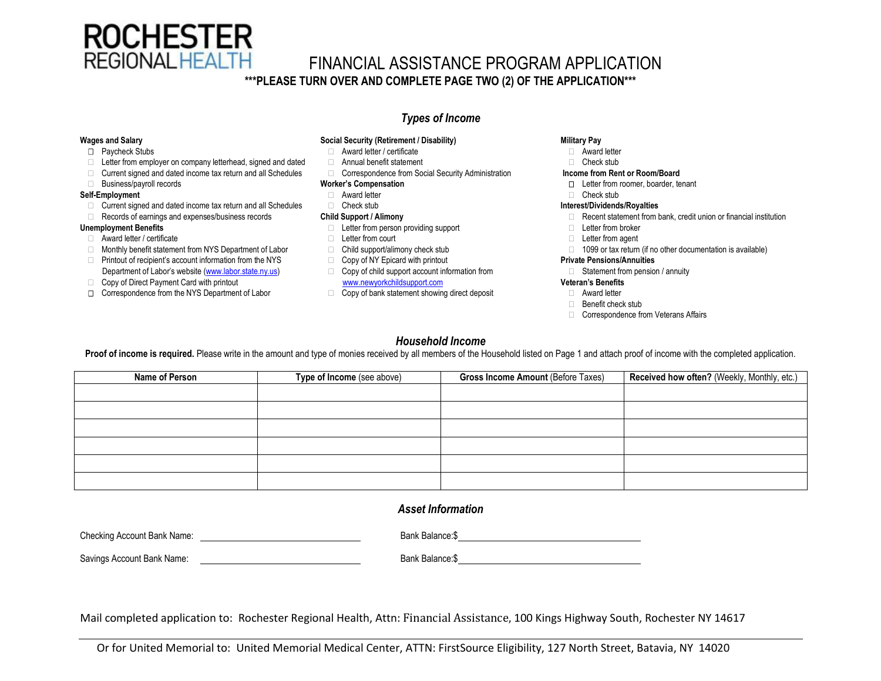

# FINANCIAL ASSISTANCE PROGRAM APPLICATION

## **\*\*\*PLEASE TURN OVER AND COMPLETE PAGE TWO (2) OF THE APPLICATION\*\*\***

## *Types of Income*

- 
- $\Box$  Letter from employer on company letterhead, signed and dated  $\Box$  Annual benefit statement  $\Box$  Check stub
- □ Current signed and dated income tax return and all Schedules □ Correspondence from Social Security Administration **Income from Rent or Room/Board**
- 

### **Self-Employment** Check stub Check stub

- □ Current signed and dated income tax return and all Schedules □ Check stub **Interest/Dividends/Royalties Interest/Dividends/Royalties**
- 

- □ Award letter / certificate the state of the state of the letter from court the state of the state of the letter from agent
- □ Monthly benefit statement from NYS Department of Labor □ Child support/alimony check stub □ 1099 or tax return (if no other documentation is available)
- □ Printout of recipient's account information from the NYS □ Copy of NY Epicard with printout **Private Pensions/Annuities** Department of Labor's website ([www.labor.state.ny.us\)](http://www.labor.state.ny.us/) Copy of child support account information from Statement from pension / annuity
- 
- **□** Correspondence from the NYS Department of Labor **Copy of bank statement showing direct deposit** △ Award letter

# **Wages and Salary Social Security (Retirement / Disability) Military Pay**

- □ Paycheck Stubs **Award letter / certificate Award letter / certificate Award letter Award letter Award letter Award letter Award letter Award letter Award in Award letter Award in Award in Award in Awar** 
	-
	-

- 
- 
- 
- **Unemployment Benefits** 
Letter from person providing support 
Letter from broker
	-
	-
	-
- □ Copy of Direct Payment Card with printout [www.newyorkchildsupport.com](http://www.newyorkchildsupport.com/) **Veteran's Benefits** 
	-

- 
- 

- □ Business/payroll records **Worker's Compensation Worker's Compensation Letter from roomer, boarder, tenant** 
	-

- □ Records of earnings and expenses/business records **Child Support / Alimony Child Support and Child Support and Child Support and Child Support in Child Support and Child Support and Child Support / Alimony <b>Child Supp** 
	-
	-
	-

- 
- Benefit check stub
- Correspondence from Veterans Affairs

### *Household Income*

Proof of income is required. Please write in the amount and type of monies received by all members of the Household listed on Page 1 and attach proof of income with the completed application.

| Name of Person | Type of Income (see above) | <b>Gross Income Amount (Before Taxes)</b> | Received how often? (Weekly, Monthly, etc.) |
|----------------|----------------------------|-------------------------------------------|---------------------------------------------|
|                |                            |                                           |                                             |
|                |                            |                                           |                                             |
|                |                            |                                           |                                             |
|                |                            |                                           |                                             |
|                |                            |                                           |                                             |
|                |                            |                                           |                                             |

### *Asset Information*

| Checking Account Bank Name: | Bank Balance: \$ |
|-----------------------------|------------------|
| Savings Account Bank Name:  | Bank Balance: \$ |

Mail completed application to: Rochester Regional Health, Attn: Financial Assistance, 100 Kings Highway South, Rochester NY 14617